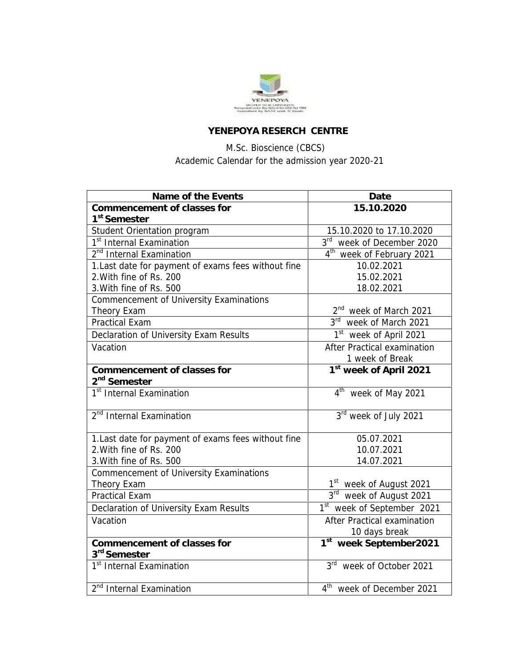

## **YENEPOYA RESERCH CENTRE**

## M.Sc. Bioscience (CBCS) Academic Calendar for the admission year 2020-21

| Name of the Events                                  | Date                                   |
|-----------------------------------------------------|----------------------------------------|
| Commencement of classes for                         | 15.10.2020                             |
| 1 <sup>st</sup> Semester                            |                                        |
| Student Orientation program                         | 15.10.2020 to 17.10.2020               |
| 1 <sup>st</sup> Internal Examination                | 3rd week of December 2020              |
| 2 <sup>nd</sup> Internal Examination                | 4 <sup>th</sup> week of February 2021  |
| 1.Last date for payment of exams fees without fine  | 10.02.2021                             |
| 2. With fine of Rs. 200                             | 15.02.2021                             |
| 3. With fine of Rs. 500                             | 18.02.2021                             |
| Commencement of University Examinations             |                                        |
| Theory Exam                                         | 2 <sup>nd</sup> week of March 2021     |
| <b>Practical Exam</b>                               | 3rd week of March 2021                 |
| Declaration of University Exam Results              | 1 <sup>st</sup> week of April 2021     |
| Vacation                                            | After Practical examination            |
|                                                     | 1 week of Break                        |
| Commencement of classes for                         | 1 <sup>st</sup> week of April 2021     |
| 2 <sup>nd</sup> Semester                            |                                        |
| 1 <sup>st</sup> Internal Examination                | 4 <sup>th</sup> week of May 2021       |
| 2 <sup>nd</sup> Internal Examination                | 3rd week of July 2021                  |
|                                                     |                                        |
| 1. Last date for payment of exams fees without fine | 05.07.2021                             |
| 2. With fine of Rs. 200                             | 10.07.2021                             |
| 3. With fine of Rs. 500                             | 14.07.2021                             |
| Commencement of University Examinations             |                                        |
| Theory Exam                                         | 1 <sup>st</sup> week of August 2021    |
| <b>Practical Exam</b>                               | 3 <sup>rd</sup><br>week of August 2021 |
| Declaration of University Exam Results              | 1st week of September 2021             |
| Vacation                                            | After Practical examination            |
|                                                     | 10 days break                          |
| Commencement of classes for                         | 1st week September2021                 |
| 3 <sup>rd</sup> Semester                            |                                        |
| 1 <sup>st</sup> Internal Examination                | 3rd week of October 2021               |
| 2 <sup>nd</sup> Internal Examination                | 4 <sup>th</sup> week of December 2021  |